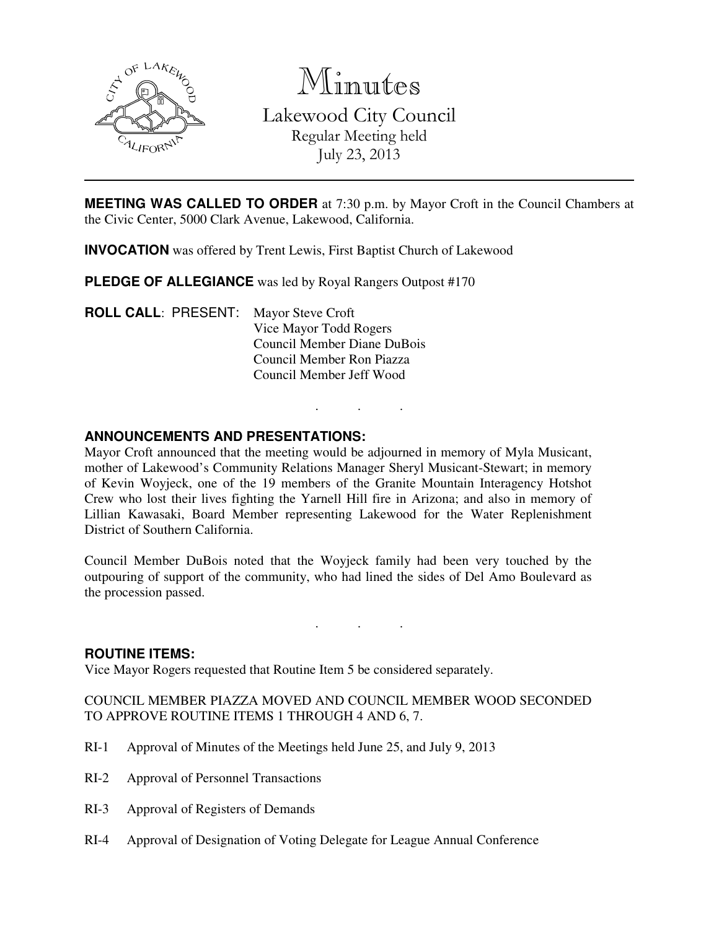

Minutes

Lakewood City Council Regular Meeting held July 23, 2013

**MEETING WAS CALLED TO ORDER** at 7:30 p.m. by Mayor Croft in the Council Chambers at the Civic Center, 5000 Clark Avenue, Lakewood, California.

**INVOCATION** was offered by Trent Lewis, First Baptist Church of Lakewood

**PLEDGE OF ALLEGIANCE** was led by Royal Rangers Outpost #170

**ROLL CALL**: PRESENT: Mayor Steve Croft Vice Mayor Todd Rogers Council Member Diane DuBois Council Member Ron Piazza Council Member Jeff Wood

### **ANNOUNCEMENTS AND PRESENTATIONS:**

Mayor Croft announced that the meeting would be adjourned in memory of Myla Musicant, mother of Lakewood's Community Relations Manager Sheryl Musicant-Stewart; in memory of Kevin Woyjeck, one of the 19 members of the Granite Mountain Interagency Hotshot Crew who lost their lives fighting the Yarnell Hill fire in Arizona; and also in memory of Lillian Kawasaki, Board Member representing Lakewood for the Water Replenishment District of Southern California.

. . .

Council Member DuBois noted that the Woyjeck family had been very touched by the outpouring of support of the community, who had lined the sides of Del Amo Boulevard as the procession passed.

. . .

#### **ROUTINE ITEMS:**

Vice Mayor Rogers requested that Routine Item 5 be considered separately.

COUNCIL MEMBER PIAZZA MOVED AND COUNCIL MEMBER WOOD SECONDED TO APPROVE ROUTINE ITEMS 1 THROUGH 4 AND 6, 7.

- RI-1 Approval of Minutes of the Meetings held June 25, and July 9, 2013
- RI-2 Approval of Personnel Transactions
- RI-3 Approval of Registers of Demands
- RI-4 Approval of Designation of Voting Delegate for League Annual Conference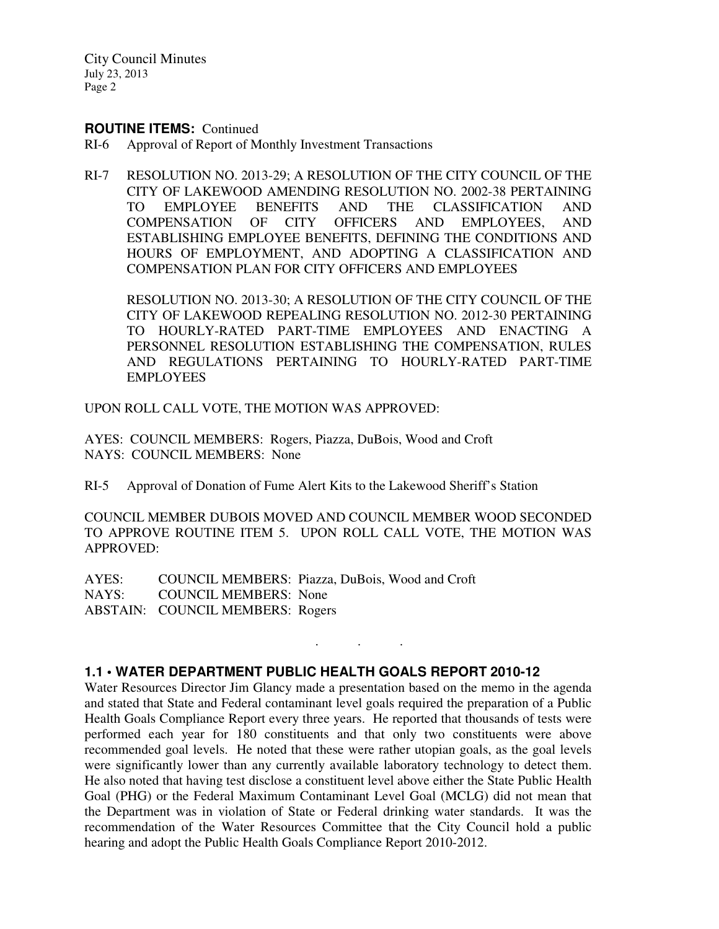#### **ROUTINE ITEMS:** Continued

- RI-6 Approval of Report of Monthly Investment Transactions
- RI-7 RESOLUTION NO. 2013-29; A RESOLUTION OF THE CITY COUNCIL OF THE CITY OF LAKEWOOD AMENDING RESOLUTION NO. 2002-38 PERTAINING TO EMPLOYEE BENEFITS AND THE CLASSIFICATION AND COMPENSATION OF CITY OFFICERS AND EMPLOYEES, AND ESTABLISHING EMPLOYEE BENEFITS, DEFINING THE CONDITIONS AND HOURS OF EMPLOYMENT, AND ADOPTING A CLASSIFICATION AND COMPENSATION PLAN FOR CITY OFFICERS AND EMPLOYEES

 RESOLUTION NO. 2013-30; A RESOLUTION OF THE CITY COUNCIL OF THE CITY OF LAKEWOOD REPEALING RESOLUTION NO. 2012-30 PERTAINING TO HOURLY-RATED PART-TIME EMPLOYEES AND ENACTING A PERSONNEL RESOLUTION ESTABLISHING THE COMPENSATION, RULES AND REGULATIONS PERTAINING TO HOURLY-RATED PART-TIME EMPLOYEES

UPON ROLL CALL VOTE, THE MOTION WAS APPROVED:

AYES: COUNCIL MEMBERS: Rogers, Piazza, DuBois, Wood and Croft NAYS: COUNCIL MEMBERS: None

RI-5 Approval of Donation of Fume Alert Kits to the Lakewood Sheriff's Station

COUNCIL MEMBER DUBOIS MOVED AND COUNCIL MEMBER WOOD SECONDED TO APPROVE ROUTINE ITEM 5. UPON ROLL CALL VOTE, THE MOTION WAS APPROVED:

. . .

AYES: COUNCIL MEMBERS: Piazza, DuBois, Wood and Croft NAYS: COUNCIL MEMBERS: None ABSTAIN: COUNCIL MEMBERS: Rogers

### **1.1 • WATER DEPARTMENT PUBLIC HEALTH GOALS REPORT 2010-12**

Water Resources Director Jim Glancy made a presentation based on the memo in the agenda and stated that State and Federal contaminant level goals required the preparation of a Public Health Goals Compliance Report every three years. He reported that thousands of tests were performed each year for 180 constituents and that only two constituents were above recommended goal levels. He noted that these were rather utopian goals, as the goal levels were significantly lower than any currently available laboratory technology to detect them. He also noted that having test disclose a constituent level above either the State Public Health Goal (PHG) or the Federal Maximum Contaminant Level Goal (MCLG) did not mean that the Department was in violation of State or Federal drinking water standards. It was the recommendation of the Water Resources Committee that the City Council hold a public hearing and adopt the Public Health Goals Compliance Report 2010-2012.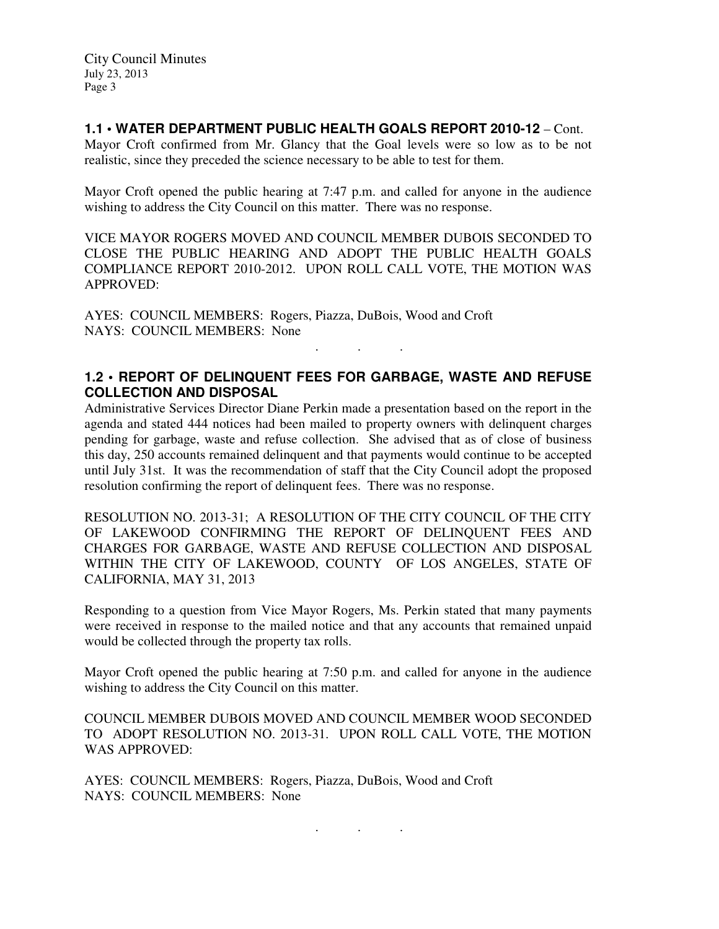### **1.1 • WATER DEPARTMENT PUBLIC HEALTH GOALS REPORT 2010-12** – Cont.

Mayor Croft confirmed from Mr. Glancy that the Goal levels were so low as to be not realistic, since they preceded the science necessary to be able to test for them.

Mayor Croft opened the public hearing at 7:47 p.m. and called for anyone in the audience wishing to address the City Council on this matter. There was no response.

VICE MAYOR ROGERS MOVED AND COUNCIL MEMBER DUBOIS SECONDED TO CLOSE THE PUBLIC HEARING AND ADOPT THE PUBLIC HEALTH GOALS COMPLIANCE REPORT 2010-2012. UPON ROLL CALL VOTE, THE MOTION WAS APPROVED:

AYES: COUNCIL MEMBERS: Rogers, Piazza, DuBois, Wood and Croft NAYS: COUNCIL MEMBERS: None

## **1.2 • REPORT OF DELINQUENT FEES FOR GARBAGE, WASTE AND REFUSE COLLECTION AND DISPOSAL**

. . .

Administrative Services Director Diane Perkin made a presentation based on the report in the agenda and stated 444 notices had been mailed to property owners with delinquent charges pending for garbage, waste and refuse collection. She advised that as of close of business this day, 250 accounts remained delinquent and that payments would continue to be accepted until July 31st. It was the recommendation of staff that the City Council adopt the proposed resolution confirming the report of delinquent fees. There was no response.

RESOLUTION NO. 2013-31; A RESOLUTION OF THE CITY COUNCIL OF THE CITY OF LAKEWOOD CONFIRMING THE REPORT OF DELINQUENT FEES AND CHARGES FOR GARBAGE, WASTE AND REFUSE COLLECTION AND DISPOSAL WITHIN THE CITY OF LAKEWOOD, COUNTY OF LOS ANGELES, STATE OF CALIFORNIA, MAY 31, 2013

Responding to a question from Vice Mayor Rogers, Ms. Perkin stated that many payments were received in response to the mailed notice and that any accounts that remained unpaid would be collected through the property tax rolls.

Mayor Croft opened the public hearing at 7:50 p.m. and called for anyone in the audience wishing to address the City Council on this matter.

COUNCIL MEMBER DUBOIS MOVED AND COUNCIL MEMBER WOOD SECONDED TO ADOPT RESOLUTION NO. 2013-31. UPON ROLL CALL VOTE, THE MOTION WAS APPROVED:

. . .

AYES: COUNCIL MEMBERS: Rogers, Piazza, DuBois, Wood and Croft NAYS: COUNCIL MEMBERS: None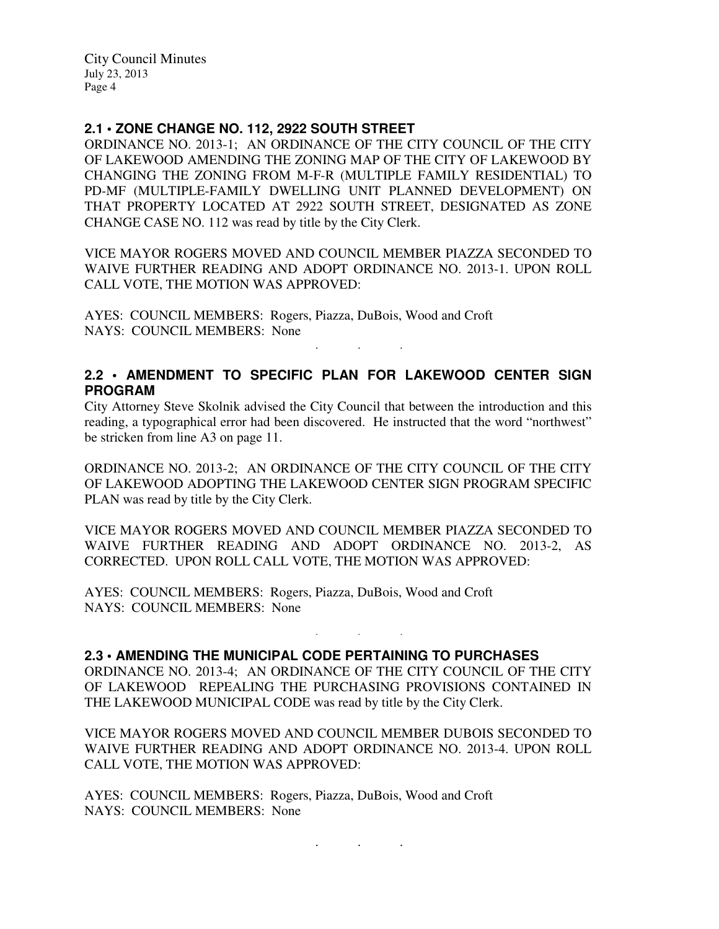### **2.1 • ZONE CHANGE NO. 112, 2922 SOUTH STREET**

ORDINANCE NO. 2013-1; AN ORDINANCE OF THE CITY COUNCIL OF THE CITY OF LAKEWOOD AMENDING THE ZONING MAP OF THE CITY OF LAKEWOOD BY CHANGING THE ZONING FROM M-F-R (MULTIPLE FAMILY RESIDENTIAL) TO PD-MF (MULTIPLE-FAMILY DWELLING UNIT PLANNED DEVELOPMENT) ON THAT PROPERTY LOCATED AT 2922 SOUTH STREET, DESIGNATED AS ZONE CHANGE CASE NO. 112 was read by title by the City Clerk.

VICE MAYOR ROGERS MOVED AND COUNCIL MEMBER PIAZZA SECONDED TO WAIVE FURTHER READING AND ADOPT ORDINANCE NO. 2013-1. UPON ROLL CALL VOTE, THE MOTION WAS APPROVED:

AYES: COUNCIL MEMBERS: Rogers, Piazza, DuBois, Wood and Croft NAYS: COUNCIL MEMBERS: None

## **2.2 • AMENDMENT TO SPECIFIC PLAN FOR LAKEWOOD CENTER SIGN PROGRAM**

. . .

City Attorney Steve Skolnik advised the City Council that between the introduction and this reading, a typographical error had been discovered. He instructed that the word "northwest" be stricken from line A3 on page 11.

ORDINANCE NO. 2013-2; AN ORDINANCE OF THE CITY COUNCIL OF THE CITY OF LAKEWOOD ADOPTING THE LAKEWOOD CENTER SIGN PROGRAM SPECIFIC PLAN was read by title by the City Clerk.

VICE MAYOR ROGERS MOVED AND COUNCIL MEMBER PIAZZA SECONDED TO WAIVE FURTHER READING AND ADOPT ORDINANCE NO. 2013-2, AS CORRECTED. UPON ROLL CALL VOTE, THE MOTION WAS APPROVED:

AYES: COUNCIL MEMBERS: Rogers, Piazza, DuBois, Wood and Croft NAYS: COUNCIL MEMBERS: None

#### **2.3 • AMENDING THE MUNICIPAL CODE PERTAINING TO PURCHASES**

ORDINANCE NO. 2013-4; AN ORDINANCE OF THE CITY COUNCIL OF THE CITY OF LAKEWOOD REPEALING THE PURCHASING PROVISIONS CONTAINED IN THE LAKEWOOD MUNICIPAL CODE was read by title by the City Clerk.

. . .

VICE MAYOR ROGERS MOVED AND COUNCIL MEMBER DUBOIS SECONDED TO WAIVE FURTHER READING AND ADOPT ORDINANCE NO. 2013-4. UPON ROLL CALL VOTE, THE MOTION WAS APPROVED:

AYES: COUNCIL MEMBERS: Rogers, Piazza, DuBois, Wood and Croft NAYS: COUNCIL MEMBERS: None

. . .